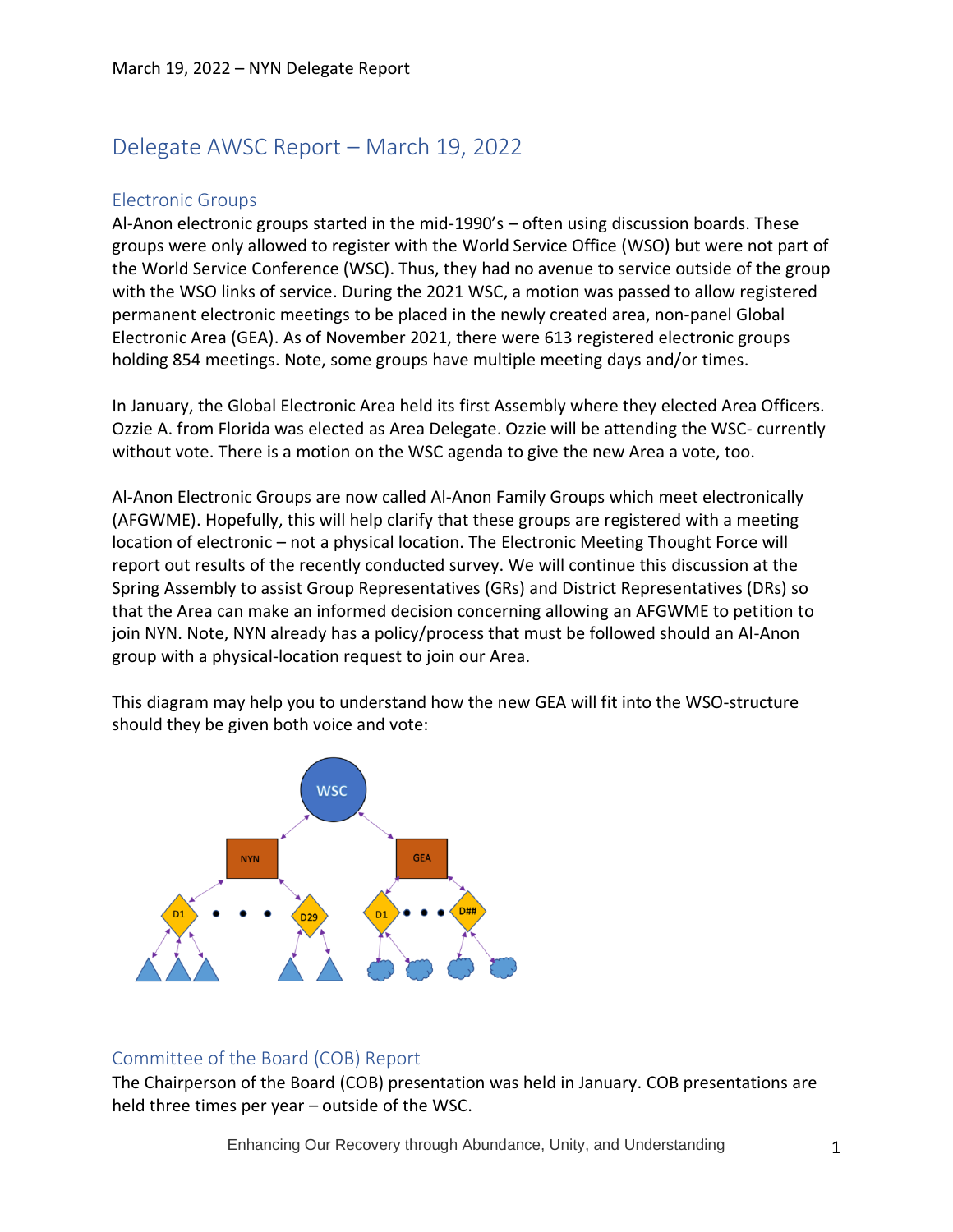# Delegate AWSC Report – March 19, 2022

# Electronic Groups

Al-Anon electronic groups started in the mid-1990's – often using discussion boards. These groups were only allowed to register with the World Service Office (WSO) but were not part of the World Service Conference (WSC). Thus, they had no avenue to service outside of the group with the WSO links of service. During the 2021 WSC, a motion was passed to allow registered permanent electronic meetings to be placed in the newly created area, non-panel Global Electronic Area (GEA). As of November 2021, there were 613 registered electronic groups holding 854 meetings. Note, some groups have multiple meeting days and/or times.

In January, the Global Electronic Area held its first Assembly where they elected Area Officers. Ozzie A. from Florida was elected as Area Delegate. Ozzie will be attending the WSC- currently without vote. There is a motion on the WSC agenda to give the new Area a vote, too.

Al-Anon Electronic Groups are now called Al-Anon Family Groups which meet electronically (AFGWME). Hopefully, this will help clarify that these groups are registered with a meeting location of electronic – not a physical location. The Electronic Meeting Thought Force will report out results of the recently conducted survey. We will continue this discussion at the Spring Assembly to assist Group Representatives (GRs) and District Representatives (DRs) so that the Area can make an informed decision concerning allowing an AFGWME to petition to join NYN. Note, NYN already has a policy/process that must be followed should an Al-Anon group with a physical-location request to join our Area.

This diagram may help you to understand how the new GEA will fit into the WSO-structure should they be given both voice and vote:



# Committee of the Board (COB) Report

The Chairperson of the Board (COB) presentation was held in January. COB presentations are held three times per year – outside of the WSC.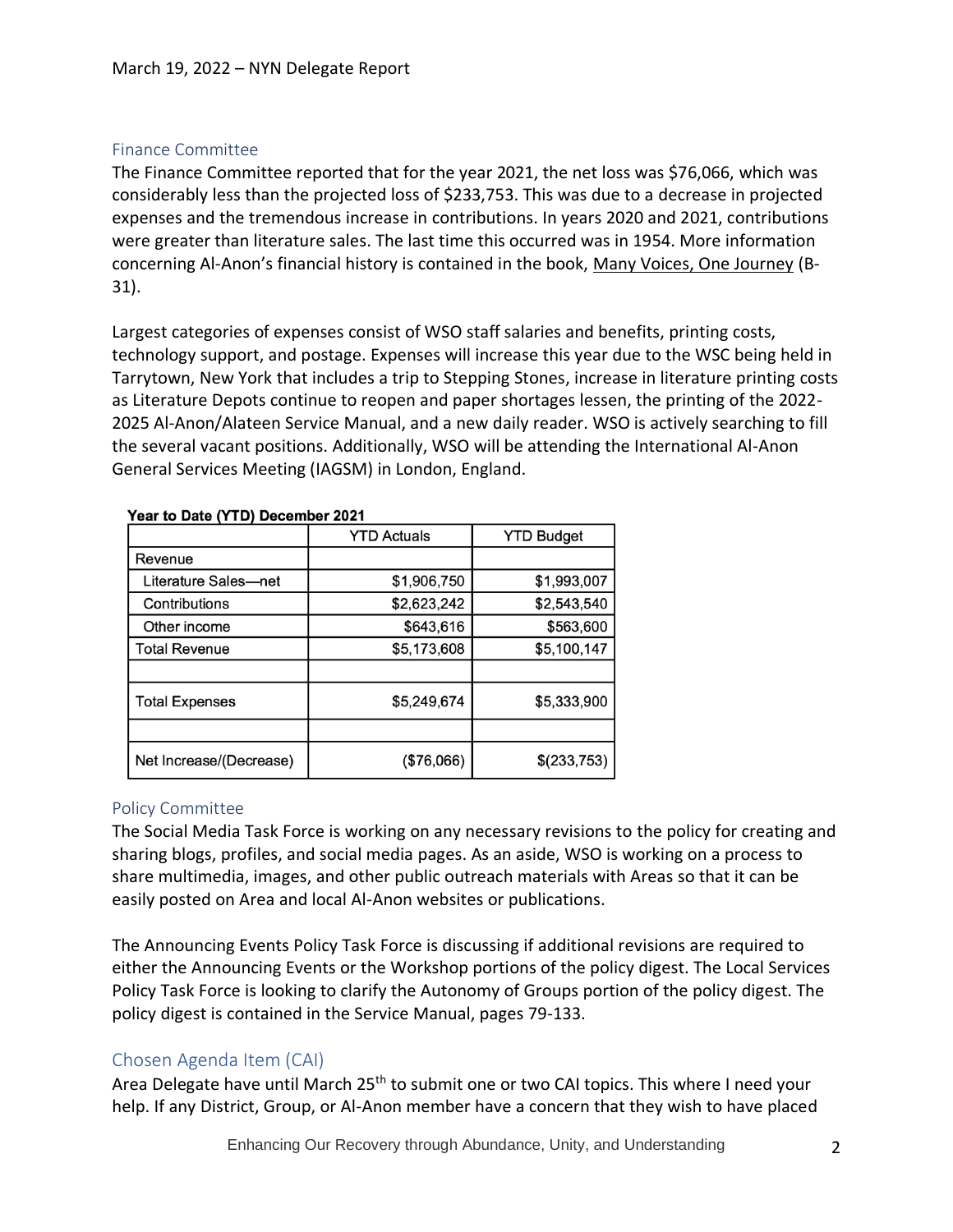# Finance Committee

The Finance Committee reported that for the year 2021, the net loss was \$76,066, which was considerably less than the projected loss of \$233,753. This was due to a decrease in projected expenses and the tremendous increase in contributions. In years 2020 and 2021, contributions were greater than literature sales. The last time this occurred was in 1954. More information concerning Al-Anon's financial history is contained in the book, Many Voices, One Journey (B-31).

Largest categories of expenses consist of WSO staff salaries and benefits, printing costs, technology support, and postage. Expenses will increase this year due to the WSC being held in Tarrytown, New York that includes a trip to Stepping Stones, increase in literature printing costs as Literature Depots continue to reopen and paper shortages lessen, the printing of the 2022- 2025 Al-Anon/Alateen Service Manual, and a new daily reader. WSO is actively searching to fill the several vacant positions. Additionally, WSO will be attending the International Al-Anon General Services Meeting (IAGSM) in London, England.

| $1$ car to bate (11 b) beceniber 2021 |                    |                   |
|---------------------------------------|--------------------|-------------------|
|                                       | <b>YTD Actuals</b> | <b>YTD Budget</b> |
| Revenue                               |                    |                   |
| Literature Sales-net                  | \$1,906,750        | \$1,993,007       |
| Contributions                         | \$2,623,242        | \$2,543,540       |
| Other income                          | \$643,616          | \$563,600         |
| <b>Total Revenue</b>                  | \$5,173,608        | \$5,100,147       |
|                                       |                    |                   |
| <b>Total Expenses</b>                 | \$5,249,674        | \$5,333,900       |
|                                       |                    |                   |
| Net Increase/(Decrease)               | (\$76,066)         | \$(233,753)       |

Year to Date (YTD) December 2021

# Policy Committee

The Social Media Task Force is working on any necessary revisions to the policy for creating and sharing blogs, profiles, and social media pages. As an aside, WSO is working on a process to share multimedia, images, and other public outreach materials with Areas so that it can be easily posted on Area and local Al-Anon websites or publications.

The Announcing Events Policy Task Force is discussing if additional revisions are required to either the Announcing Events or the Workshop portions of the policy digest. The Local Services Policy Task Force is looking to clarify the Autonomy of Groups portion of the policy digest. The policy digest is contained in the Service Manual, pages 79-133.

# Chosen Agenda Item (CAI)

Area Delegate have until March 25<sup>th</sup> to submit one or two CAI topics. This where I need your help. If any District, Group, or Al-Anon member have a concern that they wish to have placed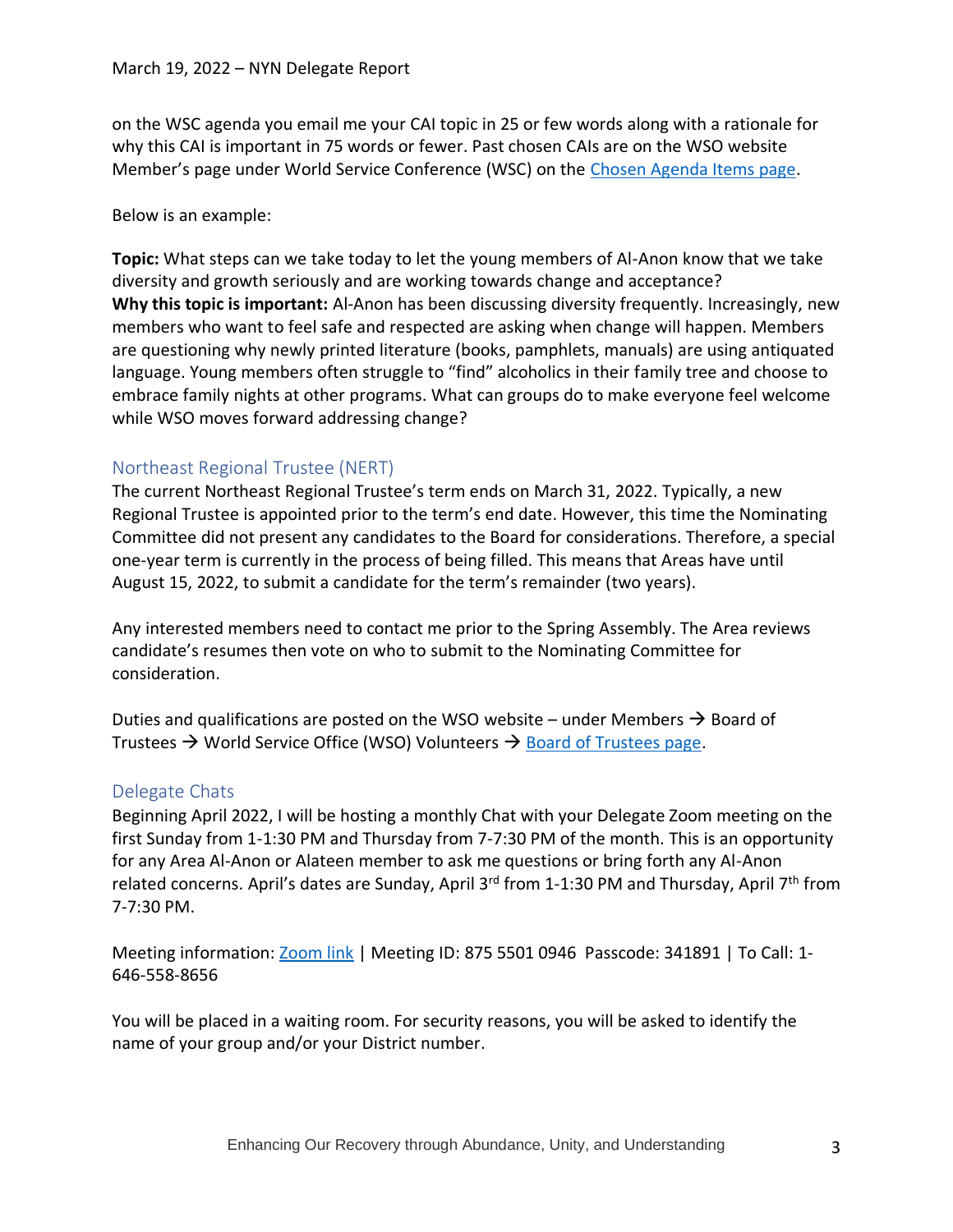on the WSC agenda you email me your CAI topic in 25 or few words along with a rationale for why this CAI is important in 75 words or fewer. Past chosen CAIs are on the WSO website Member's page under World Service Conference (WSC) on the [Chosen Agenda Items page.](https://al-anon.org/for-members/world-service-conference-wsc/chosen-agenda-items/)

Below is an example:

**Topic:** What steps can we take today to let the young members of Al-Anon know that we take diversity and growth seriously and are working towards change and acceptance? **Why this topic is important:** Al-Anon has been discussing diversity frequently. Increasingly, new members who want to feel safe and respected are asking when change will happen. Members are questioning why newly printed literature (books, pamphlets, manuals) are using antiquated language. Young members often struggle to "find" alcoholics in their family tree and choose to embrace family nights at other programs. What can groups do to make everyone feel welcome while WSO moves forward addressing change?

# Northeast Regional Trustee (NERT)

The current Northeast Regional Trustee's term ends on March 31, 2022. Typically, a new Regional Trustee is appointed prior to the term's end date. However, this time the Nominating Committee did not present any candidates to the Board for considerations. Therefore, a special one-year term is currently in the process of being filled. This means that Areas have until August 15, 2022, to submit a candidate for the term's remainder (two years).

Any interested members need to contact me prior to the Spring Assembly. The Area reviews candidate's resumes then vote on who to submit to the Nominating Committee for consideration.

Duties and qualifications are posted on the WSO website – under Members  $\rightarrow$  Board of Trustees  $\rightarrow$  World Service Office (WSO) Volunteers  $\rightarrow$  [Board of Trustees page.](https://al-anon.org/for-members/board-of-trustees/wso-volunteers/board-of-trustees/)

### Delegate Chats

Beginning April 2022, I will be hosting a monthly Chat with your Delegate Zoom meeting on the first Sunday from 1-1:30 PM and Thursday from 7-7:30 PM of the month. This is an opportunity for any Area Al-Anon or Alateen member to ask me questions or bring forth any Al-Anon related concerns. April's dates are Sunday, April  $3<sup>rd</sup>$  from 1-1:30 PM and Thursday, April 7<sup>th</sup> from 7-7:30 PM.

Meeting information: [Zoom link](https://us06web.zoom.us/j/87555010946?pwd=S0tiUEdLTVlhY3U5ZjdpQTByOWZIQT09) | Meeting ID: 875 5501 0946 Passcode: 341891 | To Call: 1- 646-558-8656

You will be placed in a waiting room. For security reasons, you will be asked to identify the name of your group and/or your District number.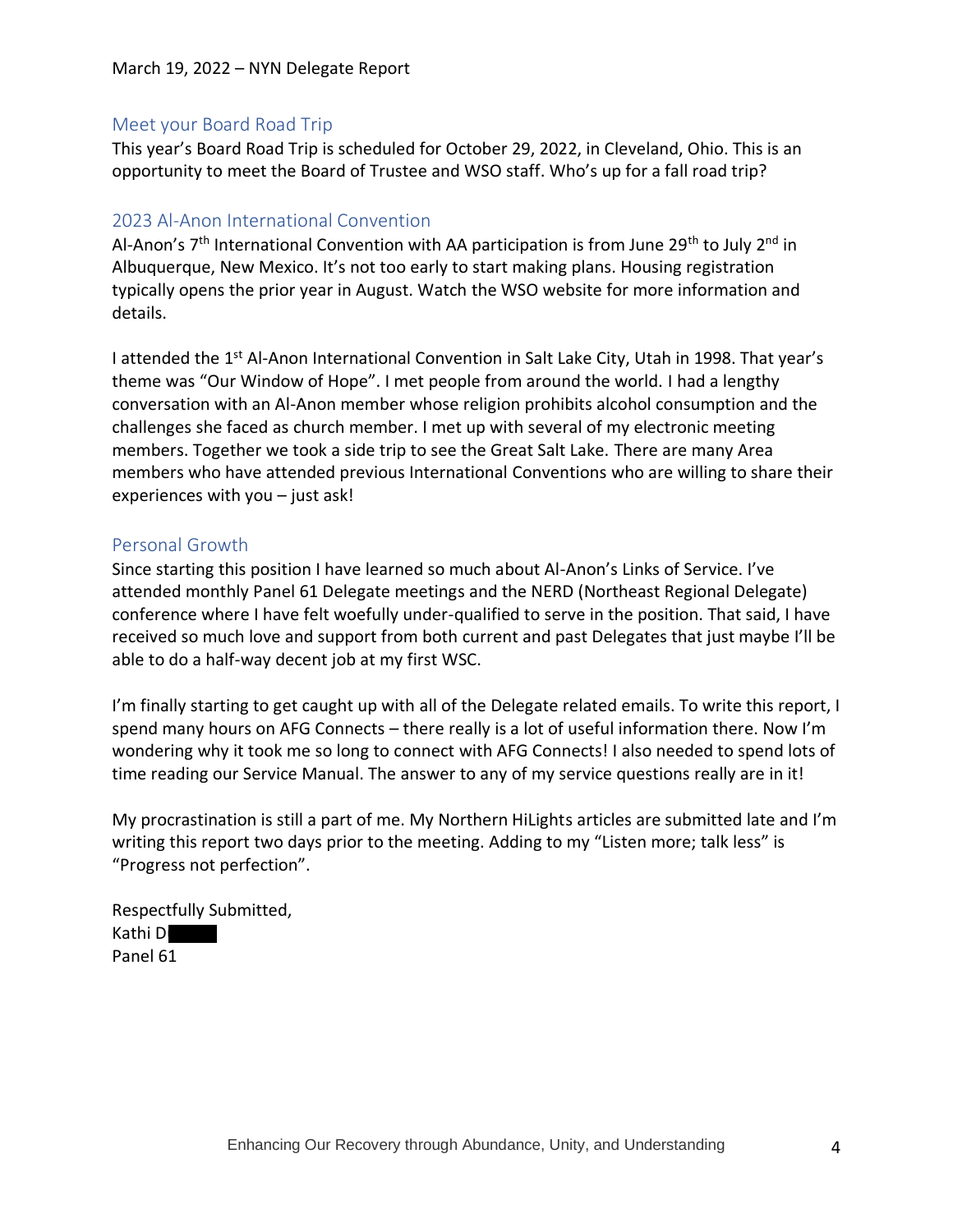# Meet your Board Road Trip

This year's Board Road Trip is scheduled for October 29, 2022, in Cleveland, Ohio. This is an opportunity to meet the Board of Trustee and WSO staff. Who's up for a fall road trip?

# 2023 Al-Anon International Convention

Al-Anon's 7<sup>th</sup> International Convention with AA participation is from June 29<sup>th</sup> to July 2<sup>nd</sup> in Albuquerque, New Mexico. It's not too early to start making plans. Housing registration typically opens the prior year in August. Watch the WSO website for more information and details.

I attended the 1<sup>st</sup> Al-Anon International Convention in Salt Lake City, Utah in 1998. That year's theme was "Our Window of Hope". I met people from around the world. I had a lengthy conversation with an Al-Anon member whose religion prohibits alcohol consumption and the challenges she faced as church member. I met up with several of my electronic meeting members. Together we took a side trip to see the Great Salt Lake. There are many Area members who have attended previous International Conventions who are willing to share their experiences with you – just ask!

# Personal Growth

Since starting this position I have learned so much about Al-Anon's Links of Service. I've attended monthly Panel 61 Delegate meetings and the NERD (Northeast Regional Delegate) conference where I have felt woefully under-qualified to serve in the position. That said, I have received so much love and support from both current and past Delegates that just maybe I'll be able to do a half-way decent job at my first WSC.

I'm finally starting to get caught up with all of the Delegate related emails. To write this report, I spend many hours on AFG Connects – there really is a lot of useful information there. Now I'm wondering why it took me so long to connect with AFG Connects! I also needed to spend lots of time reading our Service Manual. The answer to any of my service questions really are in it!

My procrastination is still a part of me. My Northern HiLights articles are submitted late and I'm writing this report two days prior to the meeting. Adding to my "Listen more; talk less" is "Progress not perfection".

Respectfully Submitted, Kathi Di Panel 61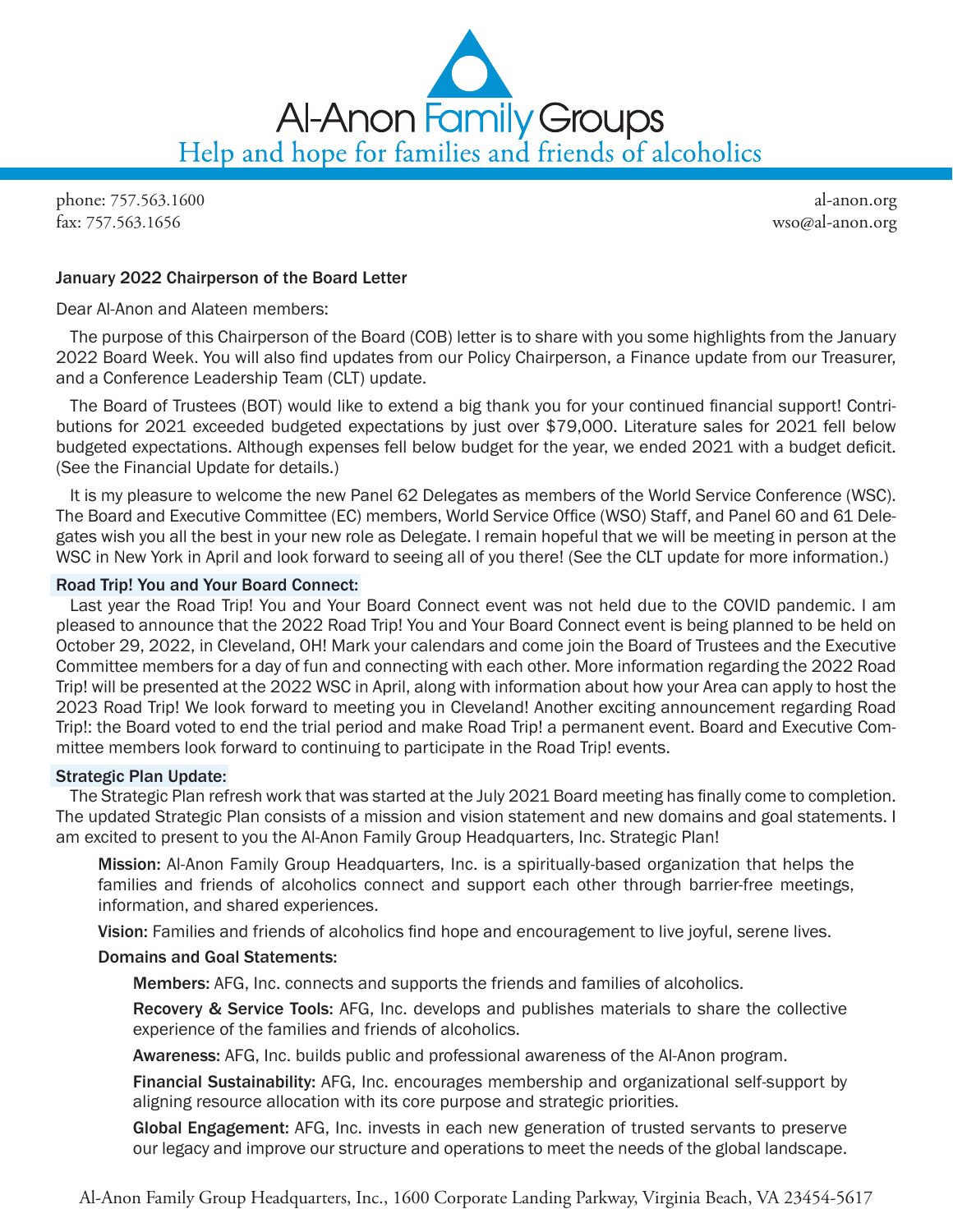

phone: 757.563.1600 fax: 757.563.1656

al-anon.org wso@al-anon.org

#### January 2022 Chairperson of the Board Letter

Dear Al‑Anon and Alateen members:

The purpose of this Chairperson of the Board (COB) letter is to share with you some highlights from the January 2022 Board Week. You will also find updates from our Policy Chairperson, a Finance update from our Treasurer, and a Conference Leadership Team (CLT) update.

The Board of Trustees (BOT) would like to extend a big thank you for your continued financial support! Contri‑ butions for 2021 exceeded budgeted expectations by just over \$79,000. Literature sales for 2021 fell below budgeted expectations. Although expenses fell below budget for the year, we ended 2021 with a budget deficit. (See the Financial Update for details.)

It is my pleasure to welcome the new Panel 62 Delegates as members of the World Service Conference (WSC). The Board and Executive Committee (EC) members, World Service Office (WSO) Staff, and Panel 60 and 61 Dele‑ gates wish you all the best in your new role as Delegate. I remain hopeful that we will be meeting in person at the WSC in New York in April and look forward to seeing all of you there! (See the CLT update for more information.)

#### Road Trip! You and Your Board Connect:

Last year the Road Trip! You and Your Board Connect event was not held due to the COVID pandemic. I am pleased to announce that the 2022 Road Trip! You and Your Board Connect event is being planned to be held on October 29, 2022, in Cleveland, OH! Mark your calendars and come join the Board of Trustees and the Executive Committee members for a day of fun and connecting with each other. More information regarding the 2022 Road Trip! will be presented at the 2022 WSC in April, along with information about how your Area can apply to host the 2023 Road Trip! We look forward to meeting you in Cleveland! Another exciting announcement regarding Road Trip!: the Board voted to end the trial period and make Road Trip! a permanent event. Board and Executive Com‑ mittee members look forward to continuing to participate in the Road Trip! events.

#### Strategic Plan Update:

The Strategic Plan refresh work that was started at the July 2021 Board meeting has finally come to completion. The updated Strategic Plan consists of a mission and vision statement and new domains and goal statements. I am excited to present to you the Al-Anon Family Group Headquarters, Inc. Strategic Plan!

Mission: Al-Anon Family Group Headquarters, Inc. is a spiritually-based organization that helps the families and friends of alcoholics connect and support each other through barrier-free meetings, information, and shared experiences.

Vision: Families and friends of alcoholics find hope and encouragement to live joyful, serene lives.

### Domains and Goal Statements:

Members: AFG, Inc. connects and supports the friends and families of alcoholics.

Recovery & Service Tools: AFG, Inc. develops and publishes materials to share the collective experience of the families and friends of alcoholics.

Awareness: AFG, Inc. builds public and professional awareness of the AI-Anon program.

Financial Sustainability: AFG, Inc. encourages membership and organizational self-support by aligning resource allocation with its core purpose and strategic priorities.

Global Engagement: AFG, Inc. invests in each new generation of trusted servants to preserve our legacy and improve our structure and operations to meet the needs of the global landscape.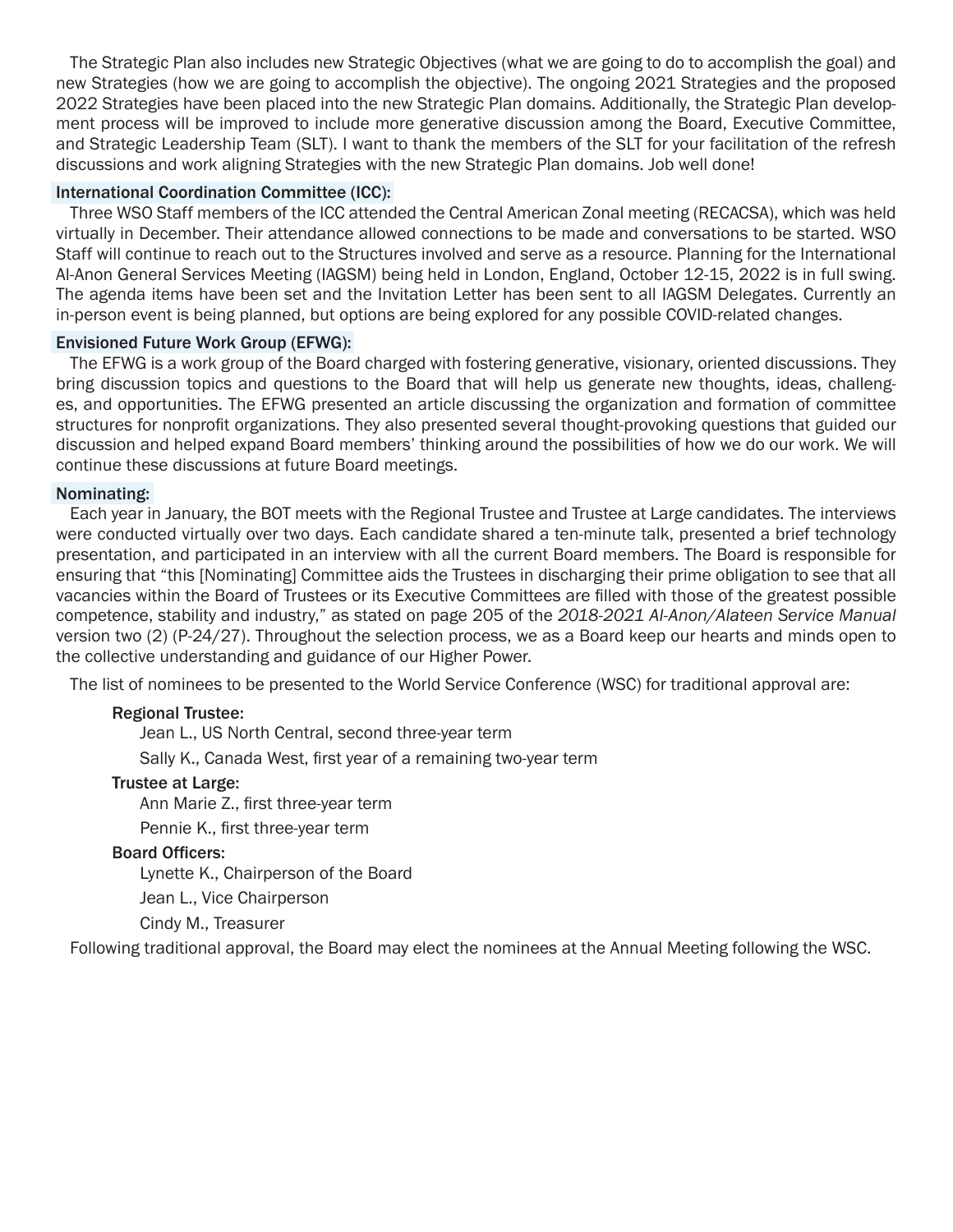The Strategic Plan also includes new Strategic Objectives (what we are going to do to accomplish the goal) and new Strategies (how we are going to accomplish the objective). The ongoing 2021 Strategies and the proposed 2022 Strategies have been placed into the new Strategic Plan domains. Additionally, the Strategic Plan development process will be improved to include more generative discussion among the Board, Executive Committee, and Strategic Leadership Team (SLT). I want to thank the members of the SLT for your facilitation of the refresh discussions and work aligning Strategies with the new Strategic Plan domains. Job well done!

#### International Coordination Committee (ICC):

Three WSO Staff members of the ICC attended the Central American Zonal meeting (RECACSA), which was held virtually in December. Their attendance allowed connections to be made and conversations to be started. WSO Staff will continue to reach out to the Structures involved and serve as a resource. Planning for the International Al-Anon General Services Meeting (IAGSM) being held in London, England, October 12-15, 2022 is in full swing. The agenda items have been set and the Invitation Letter has been sent to all IAGSM Delegates. Currently an in-person event is being planned, but options are being explored for any possible COVID-related changes.

#### Envisioned Future Work Group (EFWG):

The EFWG is a work group of the Board charged with fostering generative, visionary, oriented discussions. They bring discussion topics and questions to the Board that will help us generate new thoughts, ideas, challenges, and opportunities. The EFWG presented an article discussing the organization and formation of committee structures for nonprofit organizations. They also presented several thought-provoking questions that guided our discussion and helped expand Board members' thinking around the possibilities of how we do our work. We will continue these discussions at future Board meetings.

#### Nominating:

Each year in January, the BOT meets with the Regional Trustee and Trustee at Large candidates. The interviews were conducted virtually over two days. Each candidate shared a ten-minute talk, presented a brief technology presentation, and participated in an interview with all the current Board members. The Board is responsible for ensuring that "this [Nominating] Committee aids the Trustees in discharging their prime obligation to see that all vacancies within the Board of Trustees or its Executive Committees are filled with those of the greatest possible competence, stability and industry," as stated on page 205 of the *2018-2021 Al-Anon/Alateen Service Manual* version two (2) (P-24/27). Throughout the selection process, we as a Board keep our hearts and minds open to the collective understanding and guidance of our Higher Power.

The list of nominees to be presented to the World Service Conference (WSC) for traditional approval are:

### Regional Trustee:

Jean L., US North Central, second three-year term

Sally K., Canada West, first year of a remaining two-year term

#### Trustee at Large:

Ann Marie Z., first three-year term

Pennie K., first three-year term

### Board Officers:

Lynette K., Chairperson of the Board

Jean L., Vice Chairperson

### Cindy M., Treasurer

Following traditional approval, the Board may elect the nominees at the Annual Meeting following the WSC.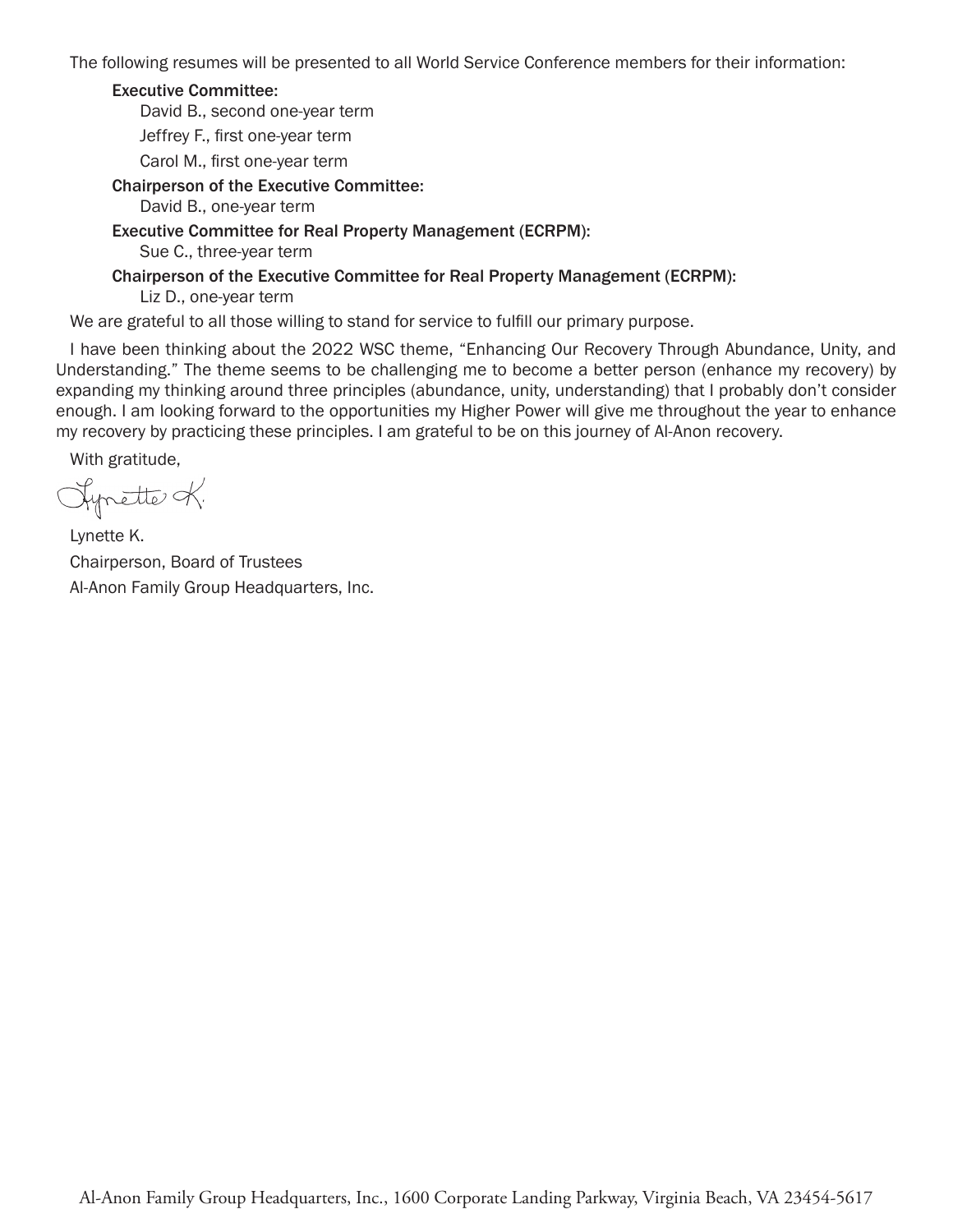The following resumes will be presented to all World Service Conference members for their information:

#### Executive Committee:

David B., second one-year term Jeffrey F., first one-year term

Carol M., first one-year term

Chairperson of the Executive Committee:

David B., one-year term

# Executive Committee for Real Property Management (ECRPM):

Sue C., three-year term

# Chairperson of the Executive Committee for Real Property Management (ECRPM):

Liz D., one-year term

We are grateful to all those willing to stand for service to fulfill our primary purpose.

I have been thinking about the 2022 WSC theme, "Enhancing Our Recovery Through Abundance, Unity, and Understanding." The theme seems to be challenging me to become a better person (enhance my recovery) by expanding my thinking around three principles (abundance, unity, understanding) that I probably don't consider enough. I am looking forward to the opportunities my Higher Power will give me throughout the year to enhance my recovery by practicing these principles. I am grateful to be on this journey of Al-Anon recovery.

With gratitude,

Typette K.

Lynette K. Chairperson, Board of Trustees Al-Anon Family Group Headquarters, Inc.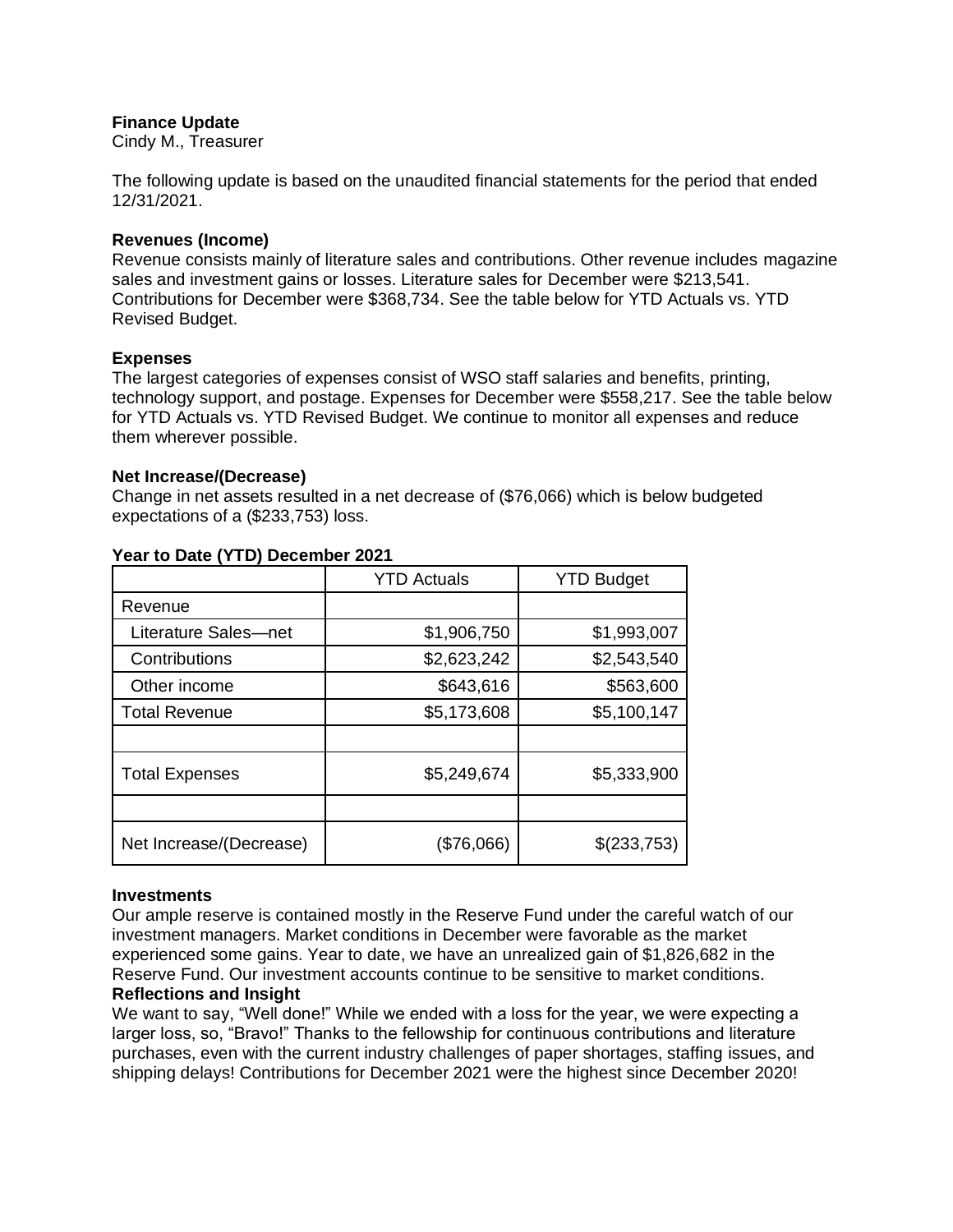### **Finance Update**

Cindy M., Treasurer

The following update is based on the unaudited financial statements for the period that ended 12/31/2021.

#### **Revenues (Income)**

Revenue consists mainly of literature sales and contributions. Other revenue includes magazine sales and investment gains or losses. Literature sales for December were \$213,541. Contributions for December were \$368,734. See the table below for YTD Actuals vs. YTD Revised Budget.

#### **Expenses**

The largest categories of expenses consist of WSO staff salaries and benefits, printing, technology support, and postage. Expenses for December were \$558,217. See the table below for YTD Actuals vs. YTD Revised Budget. We continue to monitor all expenses and reduce them wherever possible.

#### **Net Increase/(Decrease)**

Change in net assets resulted in a net decrease of (\$76,066) which is below budgeted expectations of a (\$233,753) loss.

|                         | <b>YTD Actuals</b> | <b>YTD Budget</b> |
|-------------------------|--------------------|-------------------|
| Revenue                 |                    |                   |
| Literature Sales-net    | \$1,906,750        | \$1,993,007       |
| Contributions           | \$2,623,242        | \$2,543,540       |
| Other income            | \$643,616          | \$563,600         |
| <b>Total Revenue</b>    | \$5,173,608        | \$5,100,147       |
|                         |                    |                   |
| <b>Total Expenses</b>   | \$5,249,674        | \$5,333,900       |
|                         |                    |                   |
| Net Increase/(Decrease) | (\$76,066)         | \$(233,753)       |

#### **Year to Date (YTD) December 2021**

#### **Investments**

Our ample reserve is contained mostly in the Reserve Fund under the careful watch of our investment managers. Market conditions in December were favorable as the market experienced some gains. Year to date, we have an unrealized gain of \$1,826,682 in the Reserve Fund. Our investment accounts continue to be sensitive to market conditions. **Reflections and Insight**

We want to say, "Well done!" While we ended with a loss for the year, we were expecting a larger loss, so, "Bravo!" Thanks to the fellowship for continuous contributions and literature purchases, even with the current industry challenges of paper shortages, staffing issues, and shipping delays! Contributions for December 2021 were the highest since December 2020!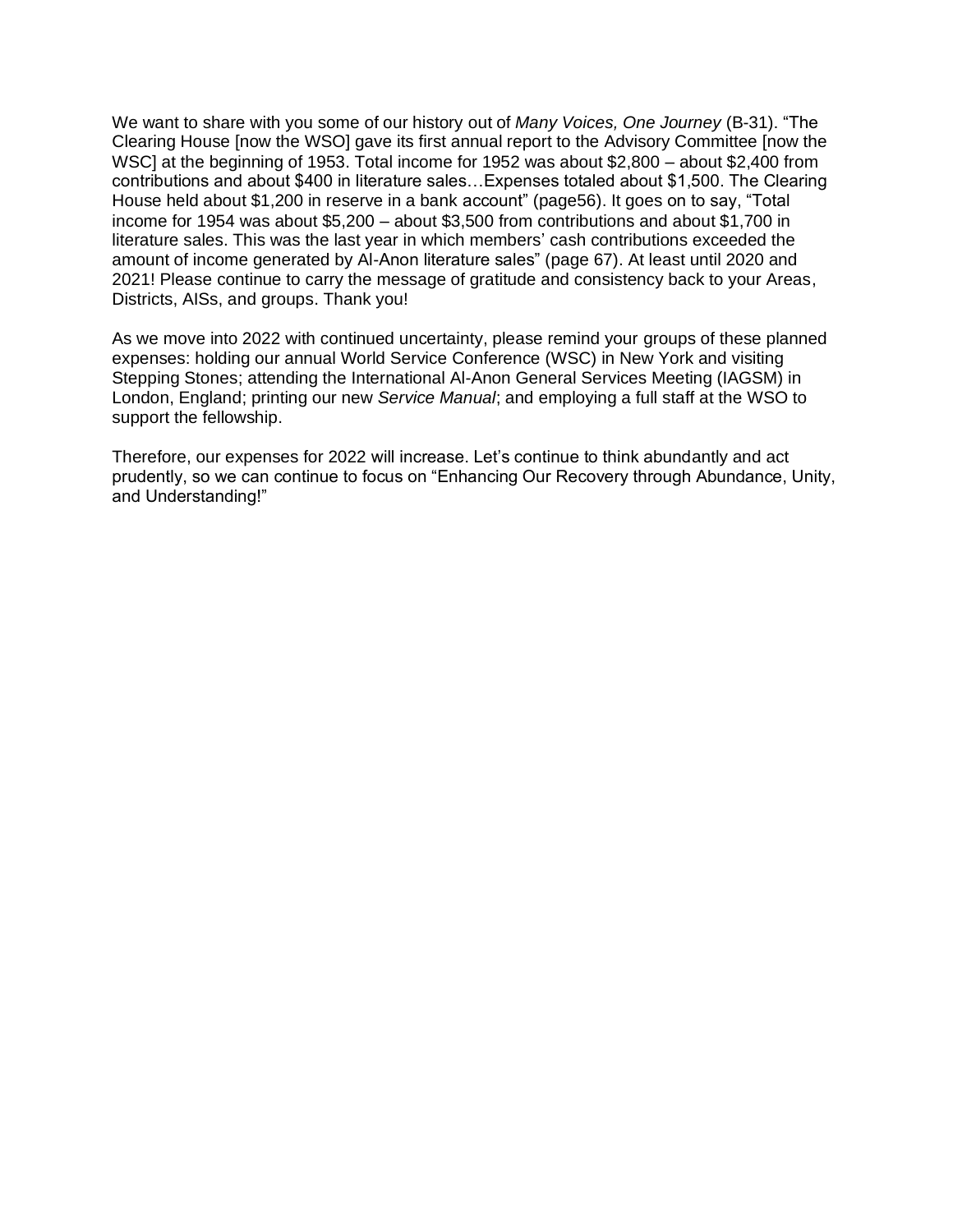We want to share with you some of our history out of *Many Voices, One Journey* (B-31). "The Clearing House [now the WSO] gave its first annual report to the Advisory Committee [now the WSC] at the beginning of 1953. Total income for 1952 was about \$2,800 – about \$2,400 from contributions and about \$400 in literature sales…Expenses totaled about \$1,500. The Clearing House held about \$1,200 in reserve in a bank account" (page56). It goes on to say, "Total income for 1954 was about \$5,200 – about \$3,500 from contributions and about \$1,700 in literature sales. This was the last year in which members' cash contributions exceeded the amount of income generated by Al-Anon literature sales" (page 67). At least until 2020 and 2021! Please continue to carry the message of gratitude and consistency back to your Areas, Districts, AISs, and groups. Thank you!

As we move into 2022 with continued uncertainty, please remind your groups of these planned expenses: holding our annual World Service Conference (WSC) in New York and visiting Stepping Stones; attending the International Al-Anon General Services Meeting (IAGSM) in London, England; printing our new *Service Manual*; and employing a full staff at the WSO to support the fellowship.

Therefore, our expenses for 2022 will increase. Let's continue to think abundantly and act prudently, so we can continue to focus on "Enhancing Our Recovery through Abundance, Unity, and Understanding!"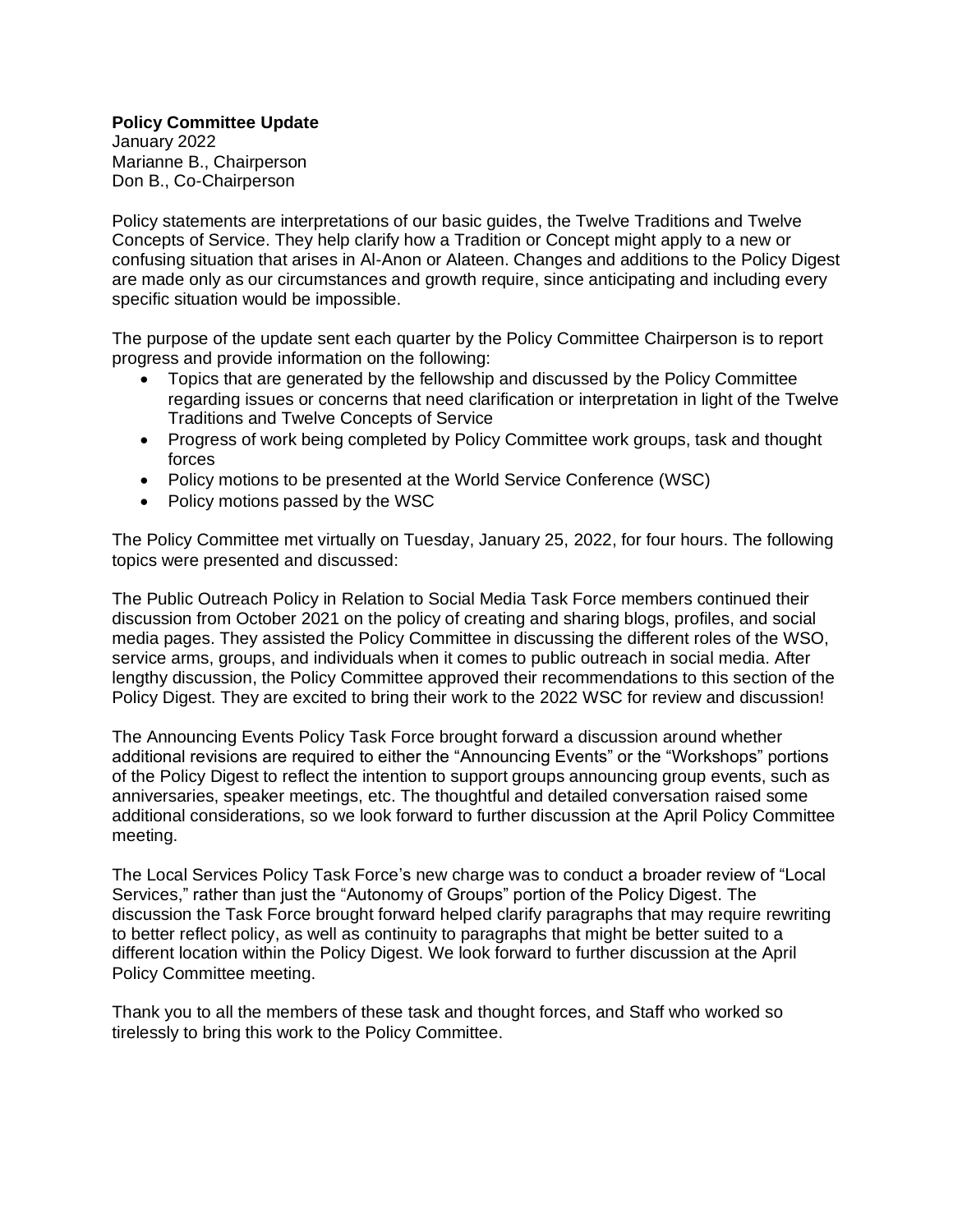#### **Policy Committee Update**

January 2022 Marianne B., Chairperson Don B., Co-Chairperson

Policy statements are interpretations of our basic guides, the Twelve Traditions and Twelve Concepts of Service. They help clarify how a Tradition or Concept might apply to a new or confusing situation that arises in Al-Anon or Alateen. Changes and additions to the Policy Digest are made only as our circumstances and growth require, since anticipating and including every specific situation would be impossible.

The purpose of the update sent each quarter by the Policy Committee Chairperson is to report progress and provide information on the following:

- Topics that are generated by the fellowship and discussed by the Policy Committee regarding issues or concerns that need clarification or interpretation in light of the Twelve Traditions and Twelve Concepts of Service
- Progress of work being completed by Policy Committee work groups, task and thought forces
- Policy motions to be presented at the World Service Conference (WSC)
- Policy motions passed by the WSC

The Policy Committee met virtually on Tuesday, January 25, 2022, for four hours. The following topics were presented and discussed:

The Public Outreach Policy in Relation to Social Media Task Force members continued their discussion from October 2021 on the policy of creating and sharing blogs, profiles, and social media pages. They assisted the Policy Committee in discussing the different roles of the WSO, service arms, groups, and individuals when it comes to public outreach in social media. After lengthy discussion, the Policy Committee approved their recommendations to this section of the Policy Digest. They are excited to bring their work to the 2022 WSC for review and discussion!

The Announcing Events Policy Task Force brought forward a discussion around whether additional revisions are required to either the "Announcing Events" or the "Workshops" portions of the Policy Digest to reflect the intention to support groups announcing group events, such as anniversaries, speaker meetings, etc. The thoughtful and detailed conversation raised some additional considerations, so we look forward to further discussion at the April Policy Committee meeting.

The Local Services Policy Task Force's new charge was to conduct a broader review of "Local Services," rather than just the "Autonomy of Groups" portion of the Policy Digest. The discussion the Task Force brought forward helped clarify paragraphs that may require rewriting to better reflect policy, as well as continuity to paragraphs that might be better suited to a different location within the Policy Digest. We look forward to further discussion at the April Policy Committee meeting.

Thank you to all the members of these task and thought forces, and Staff who worked so tirelessly to bring this work to the Policy Committee.